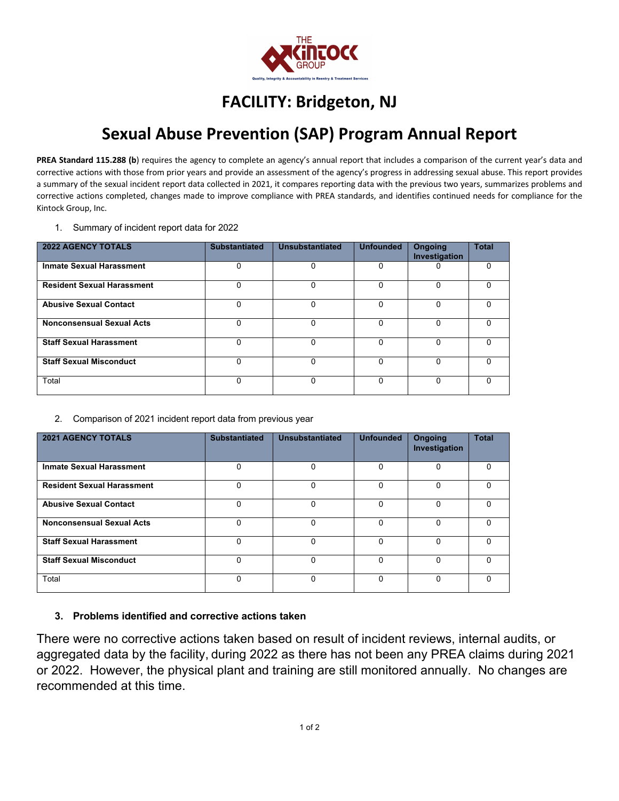

## **FACILITY: Bridgeton, NJ**

## **Sexual Abuse Prevention (SAP) Program Annual Report**

PREA Standard 115.288 (b) requires the agency to complete an agency's annual report that includes a comparison of the current year's data and corrective actions with those from prior years and provide an assessment of the agency's progress in addressing sexual abuse. This report provides a summary of the sexual incident report data collected in 2021, it compares reporting data with the previous two years, summarizes problems and corrective actions completed, changes made to improve compliance with PREA standards, and identifies continued needs for compliance for the Kintock Group, Inc.

1. Summary of incident report data for 2022

| <b>2022 AGENCY TOTALS</b>         | <b>Substantiated</b> | <b>Unsubstantiated</b> | <b>Unfounded</b> | <b>Ongoing</b><br>Investigation | <b>Total</b> |
|-----------------------------------|----------------------|------------------------|------------------|---------------------------------|--------------|
| <b>Inmate Sexual Harassment</b>   | 0                    | 0                      | 0                |                                 | $\Omega$     |
| <b>Resident Sexual Harassment</b> | 0                    | $\Omega$               | 0                | 0                               | $\Omega$     |
| <b>Abusive Sexual Contact</b>     | 0                    | $\Omega$               | 0                | 0                               | <sup>0</sup> |
| <b>Nonconsensual Sexual Acts</b>  | $\Omega$             | $\Omega$               | 0                | $\Omega$                        | 0            |
| <b>Staff Sexual Harassment</b>    | $\Omega$             | 0                      | $\Omega$         | $\Omega$                        | U            |
| <b>Staff Sexual Misconduct</b>    | 0                    | $\Omega$               | 0                | O                               | <sup>0</sup> |
| Total                             | 0                    | $\Omega$               | $\Omega$         | $\Omega$                        | U            |

2. Comparison of 2021 incident report data from previous year

| <b>2021 AGENCY TOTALS</b>         | <b>Substantiated</b> | Unsubstantiated | <b>Unfounded</b> | <b>Ongoing</b><br>Investigation | <b>Total</b> |
|-----------------------------------|----------------------|-----------------|------------------|---------------------------------|--------------|
| <b>Inmate Sexual Harassment</b>   | 0                    | 0               | $\Omega$         | $\Omega$                        | $\Omega$     |
| <b>Resident Sexual Harassment</b> | 0                    | $\mathbf{0}$    | $\Omega$         | 0                               | $\Omega$     |
| <b>Abusive Sexual Contact</b>     | 0                    | $\Omega$        | $\Omega$         | $\Omega$                        | $\Omega$     |
| <b>Nonconsensual Sexual Acts</b>  | 0                    | 0               | $\Omega$         | $\Omega$                        | $\Omega$     |
| <b>Staff Sexual Harassment</b>    | 0                    | $\Omega$        | $\Omega$         | $\Omega$                        | <sup>0</sup> |
| <b>Staff Sexual Misconduct</b>    | 0                    | $\Omega$        | $\Omega$         | $\Omega$                        | $\Omega$     |
| Total                             | 0                    | $\Omega$        | <sup>0</sup>     | $\Omega$                        | $\Omega$     |

## **3. Problems identified and corrective actions taken**

There were no corrective actions taken based on result of incident reviews, internal audits, or aggregated data by the facility, during 2022 as there has not been any PREA claims during 2021 or 2022. However, the physical plant and training are still monitored annually. No changes are recommended at this time.